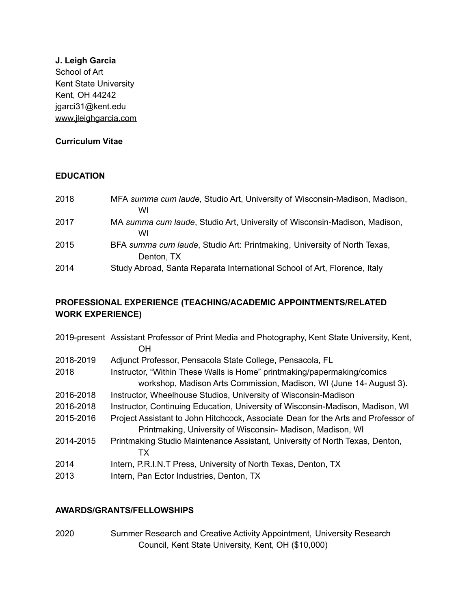### **J. Leigh Garcia**

School of Art Kent State University Kent, OH 44242 jgarci31@kent.edu [www.jleighgarcia.com](http://www.jleighgarcia.com)

# **Curriculum Vitae**

## **EDUCATION**

| 2018 | MFA summa cum laude, Studio Art, University of Wisconsin-Madison, Madison,<br>WI       |
|------|----------------------------------------------------------------------------------------|
| 2017 | MA summa cum laude, Studio Art, University of Wisconsin-Madison, Madison,<br>WI        |
| 2015 | BFA summa cum laude, Studio Art: Printmaking, University of North Texas,<br>Denton, TX |
| 2014 | Study Abroad, Santa Reparata International School of Art, Florence, Italy              |

# **PROFESSIONAL EXPERIENCE (TEACHING/ACADEMIC APPOINTMENTS/RELATED WORK EXPERIENCE)**

| 2019-present Assistant Professor of Print Media and Photography, Kent State University, Kent,<br>OΗ                                             |
|-------------------------------------------------------------------------------------------------------------------------------------------------|
| Adjunct Professor, Pensacola State College, Pensacola, FL                                                                                       |
| Instructor, "Within These Walls is Home" printmaking/papermaking/comics                                                                         |
| workshop, Madison Arts Commission, Madison, WI (June 14- August 3).                                                                             |
| Instructor, Wheelhouse Studios, University of Wisconsin-Madison                                                                                 |
| Instructor, Continuing Education, University of Wisconsin-Madison, Madison, WI                                                                  |
| Project Assistant to John Hitchcock, Associate Dean for the Arts and Professor of<br>Printmaking, University of Wisconsin- Madison, Madison, WI |
| Printmaking Studio Maintenance Assistant, University of North Texas, Denton,<br>ТX                                                              |
| Intern, P.R.I.N.T Press, University of North Texas, Denton, TX                                                                                  |
| Intern, Pan Ector Industries, Denton, TX                                                                                                        |
|                                                                                                                                                 |

## **AWARDS/GRANTS/FELLOWSHIPS**

2020 Summer Research and Creative Activity Appointment, University Research Council, Kent State University, Kent, OH (\$10,000)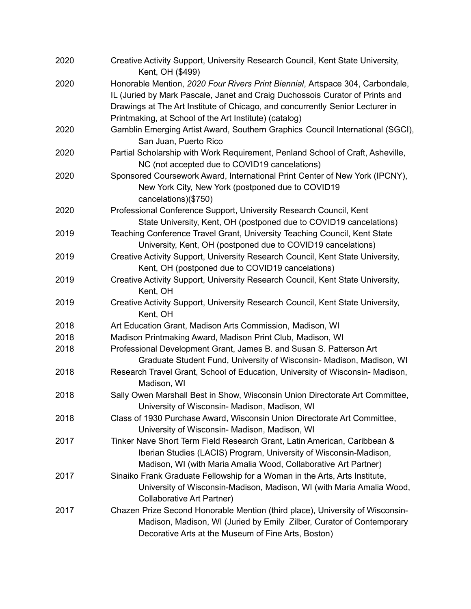| 2020 | Creative Activity Support, University Research Council, Kent State University,<br>Kent, OH (\$499)                                                                                                                                                                                                       |
|------|----------------------------------------------------------------------------------------------------------------------------------------------------------------------------------------------------------------------------------------------------------------------------------------------------------|
| 2020 | Honorable Mention, 2020 Four Rivers Print Biennial, Artspace 304, Carbondale,<br>IL (Juried by Mark Pascale, Janet and Craig Duchossois Curator of Prints and<br>Drawings at The Art Institute of Chicago, and concurrently Senior Lecturer in<br>Printmaking, at School of the Art Institute) (catalog) |
| 2020 | Gamblin Emerging Artist Award, Southern Graphics Council International (SGCI),<br>San Juan, Puerto Rico                                                                                                                                                                                                  |
| 2020 | Partial Scholarship with Work Requirement, Penland School of Craft, Asheville,<br>NC (not accepted due to COVID19 cancelations)                                                                                                                                                                          |
| 2020 | Sponsored Coursework Award, International Print Center of New York (IPCNY),<br>New York City, New York (postponed due to COVID19<br>cancelations)(\$750)                                                                                                                                                 |
| 2020 | Professional Conference Support, University Research Council, Kent<br>State University, Kent, OH (postponed due to COVID19 cancelations)                                                                                                                                                                 |
| 2019 | Teaching Conference Travel Grant, University Teaching Council, Kent State<br>University, Kent, OH (postponed due to COVID19 cancelations)                                                                                                                                                                |
| 2019 | Creative Activity Support, University Research Council, Kent State University,<br>Kent, OH (postponed due to COVID19 cancelations)                                                                                                                                                                       |
| 2019 | Creative Activity Support, University Research Council, Kent State University,<br>Kent, OH                                                                                                                                                                                                               |
| 2019 | Creative Activity Support, University Research Council, Kent State University,<br>Kent, OH                                                                                                                                                                                                               |
| 2018 | Art Education Grant, Madison Arts Commission, Madison, WI                                                                                                                                                                                                                                                |
| 2018 | Madison Printmaking Award, Madison Print Club, Madison, WI                                                                                                                                                                                                                                               |
| 2018 | Professional Development Grant, James B. and Susan S. Patterson Art<br>Graduate Student Fund, University of Wisconsin- Madison, Madison, WI                                                                                                                                                              |
| 2018 | Research Travel Grant, School of Education, University of Wisconsin-Madison,<br>Madison, WI                                                                                                                                                                                                              |
| 2018 | Sally Owen Marshall Best in Show, Wisconsin Union Directorate Art Committee,<br>University of Wisconsin- Madison, Madison, WI                                                                                                                                                                            |
| 2018 | Class of 1930 Purchase Award, Wisconsin Union Directorate Art Committee,<br>University of Wisconsin- Madison, Madison, WI                                                                                                                                                                                |
| 2017 | Tinker Nave Short Term Field Research Grant, Latin American, Caribbean &<br>Iberian Studies (LACIS) Program, University of Wisconsin-Madison,<br>Madison, WI (with Maria Amalia Wood, Collaborative Art Partner)                                                                                         |
| 2017 | Sinaiko Frank Graduate Fellowship for a Woman in the Arts, Arts Institute,<br>University of Wisconsin-Madison, Madison, WI (with Maria Amalia Wood,<br><b>Collaborative Art Partner)</b>                                                                                                                 |
| 2017 | Chazen Prize Second Honorable Mention (third place), University of Wisconsin-<br>Madison, Madison, WI (Juried by Emily Zilber, Curator of Contemporary<br>Decorative Arts at the Museum of Fine Arts, Boston)                                                                                            |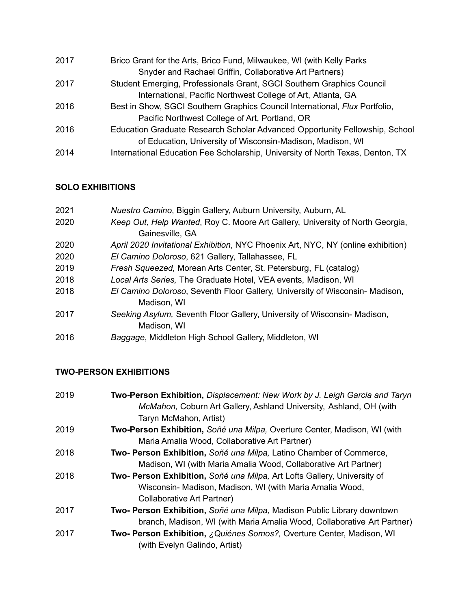| 2017 | Brico Grant for the Arts, Brico Fund, Milwaukee, WI (with Kelly Parks          |
|------|--------------------------------------------------------------------------------|
|      | Snyder and Rachael Griffin, Collaborative Art Partners)                        |
| 2017 | Student Emerging, Professionals Grant, SGCI Southern Graphics Council          |
|      | International, Pacific Northwest College of Art, Atlanta, GA                   |
| 2016 | Best in Show, SGCI Southern Graphics Council International, Flux Portfolio,    |
|      | Pacific Northwest College of Art, Portland, OR                                 |
| 2016 | Education Graduate Research Scholar Advanced Opportunity Fellowship, School    |
|      | of Education, University of Wisconsin-Madison, Madison, WI                     |
| 2014 | International Education Fee Scholarship, University of North Texas, Denton, TX |

# **SOLO EXHIBITIONS**

| Nuestro Camino, Biggin Gallery, Auburn University, Auburn, AL                    |
|----------------------------------------------------------------------------------|
| Keep Out, Help Wanted, Roy C. Moore Art Gallery, University of North Georgia,    |
| Gainesville, GA                                                                  |
| April 2020 Invitational Exhibition, NYC Phoenix Art, NYC, NY (online exhibition) |
| El Camino Doloroso, 621 Gallery, Tallahassee, FL                                 |
| Fresh Squeezed, Morean Arts Center, St. Petersburg, FL (catalog)                 |
| Local Arts Series, The Graduate Hotel, VEA events, Madison, WI                   |
| El Camino Doloroso, Seventh Floor Gallery, University of Wisconsin-Madison,      |
| Madison, WI                                                                      |
| Seeking Asylum, Seventh Floor Gallery, University of Wisconsin-Madison,          |
| Madison, WI                                                                      |
| Baggage, Middleton High School Gallery, Middleton, WI                            |
|                                                                                  |

# **TWO-PERSON EXHIBITIONS**

| 2019 | Two-Person Exhibition, Displacement: New Work by J. Leigh Garcia and Taryn<br>McMahon, Coburn Art Gallery, Ashland University, Ashland, OH (with<br>Taryn McMahon, Artist) |
|------|----------------------------------------------------------------------------------------------------------------------------------------------------------------------------|
| 2019 | Two-Person Exhibition, Soñé una Milpa, Overture Center, Madison, WI (with<br>Maria Amalia Wood, Collaborative Art Partner)                                                 |
| 2018 | Two- Person Exhibition, Soñé una Milpa, Latino Chamber of Commerce,<br>Madison, WI (with Maria Amalia Wood, Collaborative Art Partner)                                     |
| 2018 | Two- Person Exhibition, Soñé una Milpa, Art Lofts Gallery, University of<br>Wisconsin- Madison, Madison, WI (with Maria Amalia Wood,<br>Collaborative Art Partner)         |
| 2017 | Two- Person Exhibition, Soñé una Milpa, Madison Public Library downtown<br>branch, Madison, WI (with Maria Amalia Wood, Collaborative Art Partner)                         |
| 2017 | <b>Two- Person Exhibition, <i>¿Quiénes Somos?</i>, Overture Center, Madison, WI</b><br>(with Evelyn Galindo, Artist)                                                       |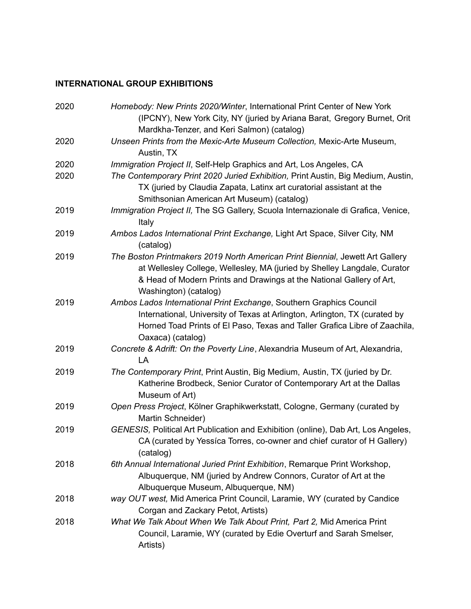# **INTERNATIONAL GROUP EXHIBITIONS**

| 2020 | Homebody: New Prints 2020/Winter, International Print Center of New York<br>(IPCNY), New York City, NY (juried by Ariana Barat, Gregory Burnet, Orit<br>Mardkha-Tenzer, and Keri Salmon) (catalog)                                                         |
|------|------------------------------------------------------------------------------------------------------------------------------------------------------------------------------------------------------------------------------------------------------------|
| 2020 | Unseen Prints from the Mexic-Arte Museum Collection, Mexic-Arte Museum,<br>Austin, TX                                                                                                                                                                      |
| 2020 | Immigration Project II, Self-Help Graphics and Art, Los Angeles, CA                                                                                                                                                                                        |
| 2020 | The Contemporary Print 2020 Juried Exhibition, Print Austin, Big Medium, Austin,<br>TX (juried by Claudia Zapata, Latinx art curatorial assistant at the<br>Smithsonian American Art Museum) (catalog)                                                     |
| 2019 | Immigration Project II, The SG Gallery, Scuola Internazionale di Grafica, Venice,<br>Italy                                                                                                                                                                 |
| 2019 | Ambos Lados International Print Exchange, Light Art Space, Silver City, NM<br>(catalog)                                                                                                                                                                    |
| 2019 | The Boston Printmakers 2019 North American Print Biennial, Jewett Art Gallery<br>at Wellesley College, Wellesley, MA (juried by Shelley Langdale, Curator<br>& Head of Modern Prints and Drawings at the National Gallery of Art,<br>Washington) (catalog) |
| 2019 | Ambos Lados International Print Exchange, Southern Graphics Council<br>International, University of Texas at Arlington, Arlington, TX (curated by<br>Horned Toad Prints of El Paso, Texas and Taller Grafica Libre of Zaachila,<br>Oaxaca) (catalog)       |
| 2019 | Concrete & Adrift: On the Poverty Line, Alexandria Museum of Art, Alexandria,<br>LA                                                                                                                                                                        |
| 2019 | The Contemporary Print, Print Austin, Big Medium, Austin, TX (juried by Dr.<br>Katherine Brodbeck, Senior Curator of Contemporary Art at the Dallas<br>Museum of Art)                                                                                      |
| 2019 | Open Press Project, Kölner Graphikwerkstatt, Cologne, Germany (curated by<br>Martin Schneider)                                                                                                                                                             |
| 2019 | GENESIS, Political Art Publication and Exhibition (online), Dab Art, Los Angeles,<br>CA (curated by Yessica Torres, co-owner and chief curator of H Gallery)<br>(catalog)                                                                                  |
| 2018 | 6th Annual International Juried Print Exhibition, Remarque Print Workshop,<br>Albuquerque, NM (juried by Andrew Connors, Curator of Art at the<br>Albuquerque Museum, Albuquerque, NM)                                                                     |
| 2018 | way OUT west, Mid America Print Council, Laramie, WY (curated by Candice<br>Corgan and Zackary Petot, Artists)                                                                                                                                             |
| 2018 | What We Talk About When We Talk About Print, Part 2, Mid America Print<br>Council, Laramie, WY (curated by Edie Overturf and Sarah Smelser,<br>Artists)                                                                                                    |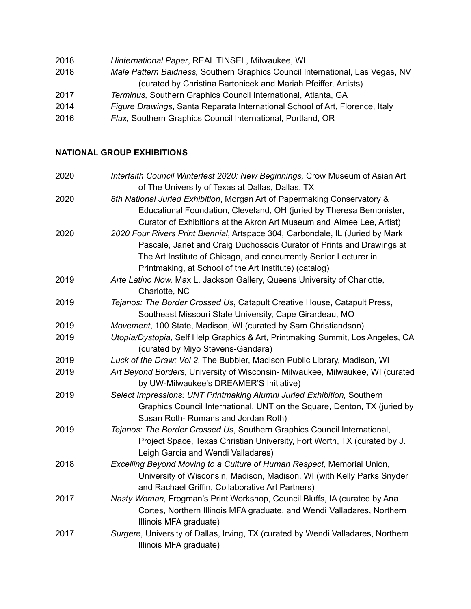| 2018 | Hinternational Paper, REAL TINSEL, Milwaukee, WI |
|------|--------------------------------------------------|
|      |                                                  |

- 2018 *Male Pattern Baldness,* Southern Graphics Council International, Las Vegas, NV (curated by Christina Bartonicek and Mariah Pfeiffer, Artists)
- 2017 *Terminus,* Southern Graphics Council International, Atlanta, GA
- 2014 *Figure Drawings*, Santa Reparata International School of Art, Florence, Italy
- 2016 *Flux,* Southern Graphics Council International, Portland, OR

# **NATIONAL GROUP EXHIBITIONS**

| 2020 | Interfaith Council Winterfest 2020: New Beginnings, Crow Museum of Asian Art     |
|------|----------------------------------------------------------------------------------|
|      | of The University of Texas at Dallas, Dallas, TX                                 |
| 2020 | 8th National Juried Exhibition, Morgan Art of Papermaking Conservatory &         |
|      | Educational Foundation, Cleveland, OH (juried by Theresa Bembnister,             |
|      | Curator of Exhibitions at the Akron Art Museum and Aimee Lee, Artist)            |
| 2020 | 2020 Four Rivers Print Biennial, Artspace 304, Carbondale, IL (Juried by Mark    |
|      | Pascale, Janet and Craig Duchossois Curator of Prints and Drawings at            |
|      | The Art Institute of Chicago, and concurrently Senior Lecturer in                |
|      | Printmaking, at School of the Art Institute) (catalog)                           |
| 2019 | Arte Latino Now, Max L. Jackson Gallery, Queens University of Charlotte,         |
|      | Charlotte, NC                                                                    |
| 2019 | Tejanos: The Border Crossed Us, Catapult Creative House, Catapult Press,         |
|      | Southeast Missouri State University, Cape Girardeau, MO                          |
| 2019 | Movement, 100 State, Madison, WI (curated by Sam Christiandson)                  |
| 2019 | Utopia/Dystopia, Self Help Graphics & Art, Printmaking Summit, Los Angeles, CA   |
|      | (curated by Miyo Stevens-Gandara)                                                |
| 2019 | Luck of the Draw: Vol 2, The Bubbler, Madison Public Library, Madison, WI        |
| 2019 | Art Beyond Borders, University of Wisconsin-Milwaukee, Milwaukee, WI (curated    |
|      | by UW-Milwaukee's DREAMER'S Initiative)                                          |
| 2019 | Select Impressions: UNT Printmaking Alumni Juried Exhibition, Southern           |
|      | Graphics Council International, UNT on the Square, Denton, TX (juried by         |
|      | Susan Roth-Romans and Jordan Roth)                                               |
| 2019 | Tejanos: The Border Crossed Us, Southern Graphics Council International,         |
|      | Project Space, Texas Christian University, Fort Worth, TX (curated by J.         |
|      | Leigh Garcia and Wendi Valladares)                                               |
| 2018 | Excelling Beyond Moving to a Culture of Human Respect, Memorial Union,           |
|      | University of Wisconsin, Madison, Madison, WI (with Kelly Parks Snyder           |
|      | and Rachael Griffin, Collaborative Art Partners)                                 |
| 2017 | Nasty Woman, Frogman's Print Workshop, Council Bluffs, IA (curated by Ana        |
|      | Cortes, Northern Illinois MFA graduate, and Wendi Valladares, Northern           |
|      | Illinois MFA graduate)                                                           |
| 2017 | Surgere, University of Dallas, Irving, TX (curated by Wendi Valladares, Northern |
|      | Illinois MFA graduate)                                                           |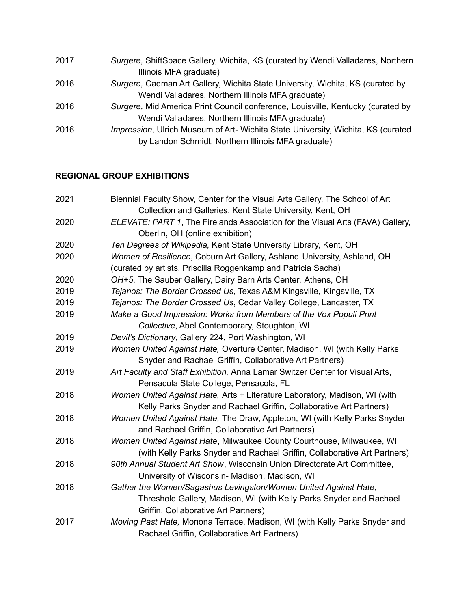| Surgere, Cadman Art Gallery, Wichita State University, Wichita, KS (curated by           |
|------------------------------------------------------------------------------------------|
|                                                                                          |
| Surgere, Mid America Print Council conference, Louisville, Kentucky (curated by          |
|                                                                                          |
| <i>Impression</i> , Ulrich Museum of Art- Wichita State University, Wichita, KS (curated |
|                                                                                          |
|                                                                                          |

# **REGIONAL GROUP EXHIBITIONS**

| Biennial Faculty Show, Center for the Visual Arts Gallery, The School of Art                                      |
|-------------------------------------------------------------------------------------------------------------------|
| Collection and Galleries, Kent State University, Kent, OH                                                         |
| ELEVATE: PART 1, The Firelands Association for the Visual Arts (FAVA) Gallery,<br>Oberlin, OH (online exhibition) |
| Ten Degrees of Wikipedia, Kent State University Library, Kent, OH                                                 |
| Women of Resilience, Coburn Art Gallery, Ashland University, Ashland, OH                                          |
| (curated by artists, Priscilla Roggenkamp and Patricia Sacha)                                                     |
| OH+5, The Sauber Gallery, Dairy Barn Arts Center, Athens, OH                                                      |
| Tejanos: The Border Crossed Us, Texas A&M Kingsville, Kingsville, TX                                              |
| Tejanos: The Border Crossed Us, Cedar Valley College, Lancaster, TX                                               |
| Make a Good Impression: Works from Members of the Vox Populi Print                                                |
| Collective, Abel Contemporary, Stoughton, WI                                                                      |
| Devil's Dictionary, Gallery 224, Port Washington, WI                                                              |
| Women United Against Hate, Overture Center, Madison, WI (with Kelly Parks                                         |
| Snyder and Rachael Griffin, Collaborative Art Partners)                                                           |
| Art Faculty and Staff Exhibition, Anna Lamar Switzer Center for Visual Arts,                                      |
| Pensacola State College, Pensacola, FL                                                                            |
| Women United Against Hate, Arts + Literature Laboratory, Madison, WI (with                                        |
| Kelly Parks Snyder and Rachael Griffin, Collaborative Art Partners)                                               |
| Women United Against Hate, The Draw, Appleton, WI (with Kelly Parks Snyder                                        |
| and Rachael Griffin, Collaborative Art Partners)                                                                  |
| Women United Against Hate, Milwaukee County Courthouse, Milwaukee, WI                                             |
| (with Kelly Parks Snyder and Rachael Griffin, Collaborative Art Partners)                                         |
| 90th Annual Student Art Show, Wisconsin Union Directorate Art Committee,                                          |
| University of Wisconsin- Madison, Madison, WI                                                                     |
| Gather the Women/Sagashus Levingston/Women United Against Hate,                                                   |
| Threshold Gallery, Madison, WI (with Kelly Parks Snyder and Rachael                                               |
| Griffin, Collaborative Art Partners)                                                                              |
| Moving Past Hate, Monona Terrace, Madison, WI (with Kelly Parks Snyder and                                        |
| Rachael Griffin, Collaborative Art Partners)                                                                      |
|                                                                                                                   |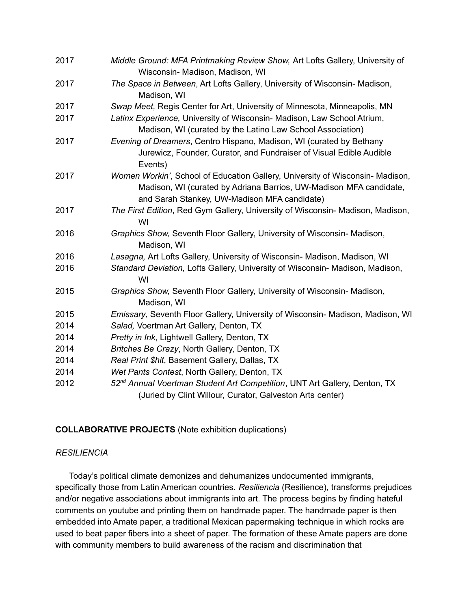| 2017 | Middle Ground: MFA Printmaking Review Show, Art Lofts Gallery, University of<br>Wisconsin- Madison, Madison, WI                                                                                     |
|------|-----------------------------------------------------------------------------------------------------------------------------------------------------------------------------------------------------|
| 2017 | The Space in Between, Art Lofts Gallery, University of Wisconsin- Madison,<br>Madison, WI                                                                                                           |
| 2017 | Swap Meet, Regis Center for Art, University of Minnesota, Minneapolis, MN                                                                                                                           |
| 2017 | Latinx Experience, University of Wisconsin- Madison, Law School Atrium,<br>Madison, WI (curated by the Latino Law School Association)                                                               |
| 2017 | Evening of Dreamers, Centro Hispano, Madison, WI (curated by Bethany<br>Jurewicz, Founder, Curator, and Fundraiser of Visual Edible Audible<br>Events)                                              |
| 2017 | Women Workin', School of Education Gallery, University of Wisconsin- Madison,<br>Madison, WI (curated by Adriana Barrios, UW-Madison MFA candidate,<br>and Sarah Stankey, UW-Madison MFA candidate) |
| 2017 | The First Edition, Red Gym Gallery, University of Wisconsin- Madison, Madison,<br>WI                                                                                                                |
| 2016 | Graphics Show, Seventh Floor Gallery, University of Wisconsin- Madison,<br>Madison, WI                                                                                                              |
| 2016 | Lasagna, Art Lofts Gallery, University of Wisconsin- Madison, Madison, WI                                                                                                                           |
| 2016 | Standard Deviation, Lofts Gallery, University of Wisconsin- Madison, Madison,<br>WI                                                                                                                 |
| 2015 | Graphics Show, Seventh Floor Gallery, University of Wisconsin- Madison,<br>Madison, WI                                                                                                              |
| 2015 | Emissary, Seventh Floor Gallery, University of Wisconsin- Madison, Madison, WI                                                                                                                      |
| 2014 | Salad, Voertman Art Gallery, Denton, TX                                                                                                                                                             |
| 2014 | Pretty in Ink, Lightwell Gallery, Denton, TX                                                                                                                                                        |
| 2014 | Britches Be Crazy, North Gallery, Denton, TX                                                                                                                                                        |
| 2014 | Real Print \$hit, Basement Gallery, Dallas, TX                                                                                                                                                      |
| 2014 | Wet Pants Contest, North Gallery, Denton, TX                                                                                                                                                        |
| 2012 | 52 <sup>nd</sup> Annual Voertman Student Art Competition, UNT Art Gallery, Denton, TX<br>(Juried by Clint Willour, Curator, Galveston Arts center)                                                  |

#### **COLLABORATIVE PROJECTS** (Note exhibition duplications)

#### *RESILIENCIA*

Today's political climate demonizes and dehumanizes undocumented immigrants, specifically those from Latin American countries. *Resiliencia* (Resilience), transforms prejudices and/or negative associations about immigrants into art. The process begins by finding hateful comments on youtube and printing them on handmade paper. The handmade paper is then embedded into Amate paper, a traditional Mexican papermaking technique in which rocks are used to beat paper fibers into a sheet of paper. The formation of these Amate papers are done with community members to build awareness of the racism and discrimination that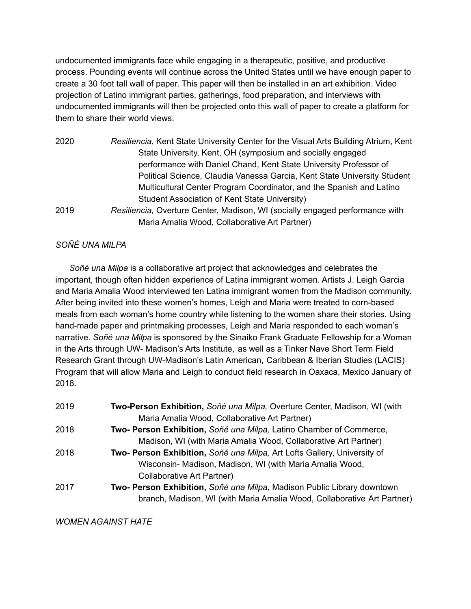undocumented immigrants face while engaging in a therapeutic, positive, and productive process. Pounding events will continue across the United States until we have enough paper to create a 30 foot tall wall of paper. This paper will then be installed in an art exhibition. Video projection of Latino immigrant parties, gatherings, food preparation, and interviews with undocumented immigrants will then be projected onto this wall of paper to create a platform for them to share their world views.

2020 *Resiliencia*, Kent State University Center for the Visual Arts Building Atrium, Kent State University, Kent, OH (symposium and socially engaged performance with Daniel Chand, Kent State University Professor of Political Science, Claudia Vanessa Garcia, Kent State University Student Multicultural Center Program Coordinator, and the Spanish and Latino Student Association of Kent State University) 2019 *Resiliencia,* Overture Center, Madison, WI (socially engaged performance with Maria Amalia Wood, Collaborative Art Partner)

#### *SOÑÉ UNA MILPA*

*Soñé una Milpa* is a collaborative art project that acknowledges and celebrates the important, though often hidden experience of Latina immigrant women. Artists J. Leigh Garcia and Maria Amalia Wood interviewed ten Latina immigrant women from the Madison community. After being invited into these women's homes, Leigh and Maria were treated to corn-based meals from each woman's home country while listening to the women share their stories. Using hand-made paper and printmaking processes, Leigh and Maria responded to each woman's narrative. *Soñé una Milpa* is sponsored by the Sinaiko Frank Graduate Fellowship for a Woman in the Arts through UW- Madison's Arts Institute, as well as a Tinker Nave Short Term Field Research Grant through UW-Madison's Latin American, Caribbean & Iberian Studies (LACIS) Program that will allow Maria and Leigh to conduct field research in Oaxaca, Mexico January of 2018.

- 2019 **Two-Person Exhibition,** *Soñé una Milpa,* Overture Center, Madison, WI (with Maria Amalia Wood, Collaborative Art Partner)
- 2018 **Two- Person Exhibition,** *Soñé una Milpa,* Latino Chamber of Commerce, Madison, WI (with Maria Amalia Wood, Collaborative Art Partner)
- 2018 **Two- Person Exhibition,** *Soñé una Milpa,* Art Lofts Gallery, University of Wisconsin- Madison, Madison, WI (with Maria Amalia Wood, Collaborative Art Partner)
- 2017 **Two- Person Exhibition,** *Soñé una Milpa,* Madison Public Library downtown branch, Madison, WI (with Maria Amalia Wood, Collaborative Art Partner)

*WOMEN AGAINST HATE*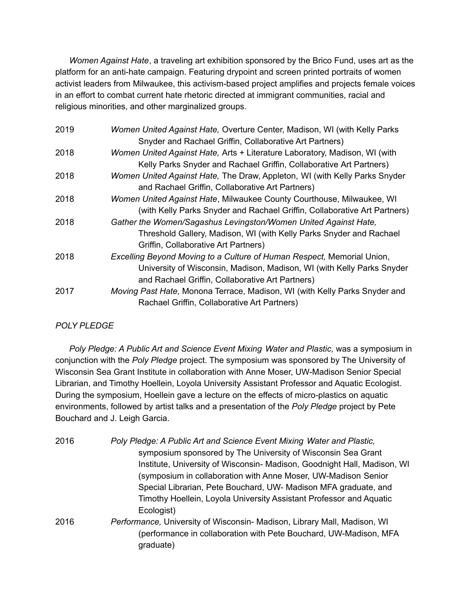*Women Against Hate*, a traveling art exhibition sponsored by the Brico Fund, uses art as the platform for an anti-hate campaign. Featuring drypoint and screen printed portraits of women activist leaders from Milwaukee, this activism-based project amplifies and projects female voices in an effort to combat current hate rhetoric directed at immigrant communities, racial and religious minorities, and other marginalized groups.

| 2019 | Women United Against Hate, Overture Center, Madison, WI (with Kelly Parks  |
|------|----------------------------------------------------------------------------|
|      | Snyder and Rachael Griffin, Collaborative Art Partners)                    |
| 2018 | Women United Against Hate, Arts + Literature Laboratory, Madison, WI (with |
|      | Kelly Parks Snyder and Rachael Griffin, Collaborative Art Partners)        |
| 2018 | Women United Against Hate, The Draw, Appleton, WI (with Kelly Parks Snyder |
|      | and Rachael Griffin, Collaborative Art Partners)                           |
| 2018 | Women United Against Hate, Milwaukee County Courthouse, Milwaukee, WI      |
|      | (with Kelly Parks Snyder and Rachael Griffin, Collaborative Art Partners)  |
| 2018 | Gather the Women/Sagashus Levingston/Women United Against Hate,            |
|      | Threshold Gallery, Madison, WI (with Kelly Parks Snyder and Rachael        |
|      | Griffin, Collaborative Art Partners)                                       |
| 2018 | Excelling Beyond Moving to a Culture of Human Respect, Memorial Union,     |
|      | University of Wisconsin, Madison, Madison, WI (with Kelly Parks Snyder     |
|      | and Rachael Griffin, Collaborative Art Partners)                           |
| 2017 | Moving Past Hate, Monona Terrace, Madison, WI (with Kelly Parks Snyder and |
|      | Rachael Griffin, Collaborative Art Partners)                               |

# *POLY PLEDGE*

*Poly Pledge: A Public Art and Science Event Mixing Water and Plastic,* was a symposium in conjunction with the *Poly Pledge* project. The symposium was sponsored by The University of Wisconsin Sea Grant Institute in collaboration with Anne Moser, UW-Madison Senior Special Librarian, and Timothy Hoellein, Loyola University Assistant Professor and Aquatic Ecologist. During the symposium, Hoellein gave a lecture on the effects of micro-plastics on aquatic environments, followed by artist talks and a presentation of the *Poly Pledge* project by Pete Bouchard and J. Leigh Garcia.

| 2016 | Poly Pledge: A Public Art and Science Event Mixing Water and Plastic,    |
|------|--------------------------------------------------------------------------|
|      | symposium sponsored by The University of Wisconsin Sea Grant             |
|      | Institute, University of Wisconsin- Madison, Goodnight Hall, Madison, WI |
|      | (symposium in collaboration with Anne Moser, UW-Madison Senior           |
|      | Special Librarian, Pete Bouchard, UW- Madison MFA graduate, and          |
|      | Timothy Hoellein, Loyola University Assistant Professor and Aquatic      |
|      | Ecologist)                                                               |
| 2016 | Performance, University of Wisconsin- Madison, Library Mall, Madison, WI |
|      | (performance in collaboration with Pete Bouchard, UW-Madison, MFA        |
|      | graduate)                                                                |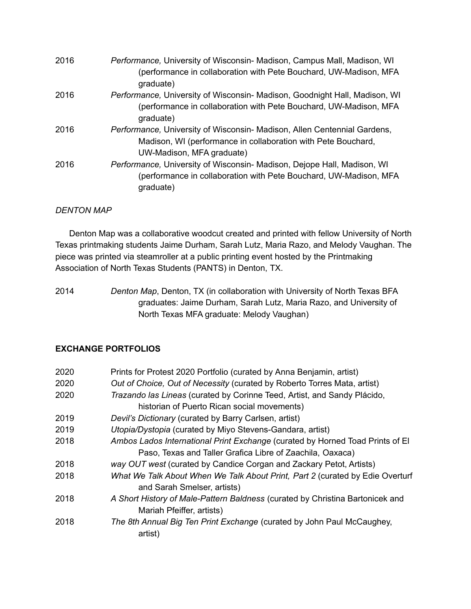| 2016 | Performance, University of Wisconsin- Madison, Campus Mall, Madison, WI<br>(performance in collaboration with Pete Bouchard, UW-Madison, MFA<br>graduate)              |
|------|------------------------------------------------------------------------------------------------------------------------------------------------------------------------|
| 2016 | Performance, University of Wisconsin- Madison, Goodnight Hall, Madison, WI<br>(performance in collaboration with Pete Bouchard, UW-Madison, MFA<br>graduate)           |
| 2016 | Performance, University of Wisconsin- Madison, Allen Centennial Gardens,<br>Madison, WI (performance in collaboration with Pete Bouchard,<br>UW-Madison, MFA graduate) |
| 2016 | Performance, University of Wisconsin- Madison, Dejope Hall, Madison, WI<br>(performance in collaboration with Pete Bouchard, UW-Madison, MFA<br>graduate)              |

## *DENTON MAP*

Denton Map was a collaborative woodcut created and printed with fellow University of North Texas printmaking students Jaime Durham, Sarah Lutz, Maria Razo, and Melody Vaughan. The piece was printed via steamroller at a public printing event hosted by the Printmaking Association of North Texas Students (PANTS) in Denton, TX.

2014 *Denton Map*, Denton, TX (in collaboration with University of North Texas BFA graduates: Jaime Durham, Sarah Lutz, Maria Razo, and University of North Texas MFA graduate: Melody Vaughan)

## **EXCHANGE PORTFOLIOS**

| 2020 | Prints for Protest 2020 Portfolio (curated by Anna Benjamin, artist)                                         |
|------|--------------------------------------------------------------------------------------------------------------|
| 2020 | Out of Choice, Out of Necessity (curated by Roberto Torres Mata, artist)                                     |
| 2020 | Trazando las Lineas (curated by Corinne Teed, Artist, and Sandy Plácido,                                     |
|      | historian of Puerto Rican social movements)                                                                  |
| 2019 | Devil's Dictionary (curated by Barry Carlsen, artist)                                                        |
| 2019 | Utopia/Dystopia (curated by Miyo Stevens-Gandara, artist)                                                    |
| 2018 | Ambos Lados International Print Exchange (curated by Horned Toad Prints of El                                |
|      | Paso, Texas and Taller Grafica Libre of Zaachila, Oaxaca)                                                    |
| 2018 | way OUT west (curated by Candice Corgan and Zackary Petot, Artists)                                          |
| 2018 | What We Talk About When We Talk About Print, Part 2 (curated by Edie Overturf<br>and Sarah Smelser, artists) |
| 2018 | A Short History of Male-Pattern Baldness (curated by Christina Bartonicek and<br>Mariah Pfeiffer, artists)   |
| 2018 | The 8th Annual Big Ten Print Exchange (curated by John Paul McCaughey,<br>artist)                            |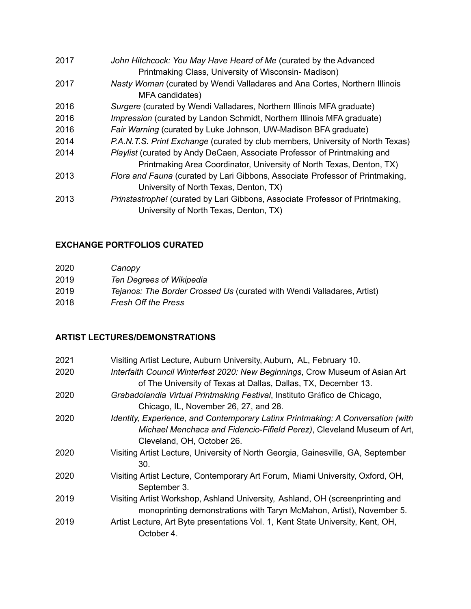| 2017 | John Hitchcock: You May Have Heard of Me (curated by the Advanced<br>Printmaking Class, University of Wisconsin-Madison) |
|------|--------------------------------------------------------------------------------------------------------------------------|
| 2017 | Nasty Woman (curated by Wendi Valladares and Ana Cortes, Northern Illinois<br>MFA candidates)                            |
| 2016 | Surgere (curated by Wendi Valladares, Northern Illinois MFA graduate)                                                    |
| 2016 | <i>Impression</i> (curated by Landon Schmidt, Northern Illinois MFA graduate)                                            |
| 2016 | Fair Warning (curated by Luke Johnson, UW-Madison BFA graduate)                                                          |
| 2014 | P.A.N.T.S. Print Exchange (curated by club members, University of North Texas)                                           |
| 2014 | <i>Playlist</i> (curated by Andy DeCaen, Associate Professor of Printmaking and                                          |
|      | Printmaking Area Coordinator, University of North Texas, Denton, TX)                                                     |
| 2013 | Flora and Fauna (curated by Lari Gibbons, Associate Professor of Printmaking,                                            |
|      | University of North Texas, Denton, TX)                                                                                   |
| 2013 | Prinstastrophe! (curated by Lari Gibbons, Associate Professor of Printmaking,                                            |
|      | University of North Texas, Denton, TX)                                                                                   |

# **EXCHANGE PORTFOLIOS CURATED**

| 2020 | Canopy                                                                 |
|------|------------------------------------------------------------------------|
| 2019 | Ten Degrees of Wikipedia                                               |
| 2019 | Tejanos: The Border Crossed Us (curated with Wendi Valladares, Artist) |
| 2018 | <b>Fresh Off the Press</b>                                             |

# **ARTIST LECTURES/DEMONSTRATIONS**

| 2021 | Visiting Artist Lecture, Auburn University, Auburn, AL, February 10.                           |
|------|------------------------------------------------------------------------------------------------|
| 2020 | Interfaith Council Winterfest 2020: New Beginnings, Crow Museum of Asian Art                   |
|      | of The University of Texas at Dallas, Dallas, TX, December 13.                                 |
| 2020 | Grabadolandia Virtual Printmaking Festival, Instituto Gráfico de Chicago,                      |
|      | Chicago, IL, November 26, 27, and 28.                                                          |
| 2020 | Identity, Experience, and Contemporary Latinx Printmaking: A Conversation (with                |
|      | Michael Menchaca and Fidencio-Fifield Perez), Cleveland Museum of Art,                         |
|      | Cleveland, OH, October 26.                                                                     |
| 2020 | Visiting Artist Lecture, University of North Georgia, Gainesville, GA, September               |
|      | 30.                                                                                            |
| 2020 | Visiting Artist Lecture, Contemporary Art Forum, Miami University, Oxford, OH,<br>September 3. |
| 2019 | Visiting Artist Workshop, Ashland University, Ashland, OH (screenprinting and                  |
|      | monoprinting demonstrations with Taryn McMahon, Artist), November 5.                           |
| 2019 | Artist Lecture, Art Byte presentations Vol. 1, Kent State University, Kent, OH,<br>October 4.  |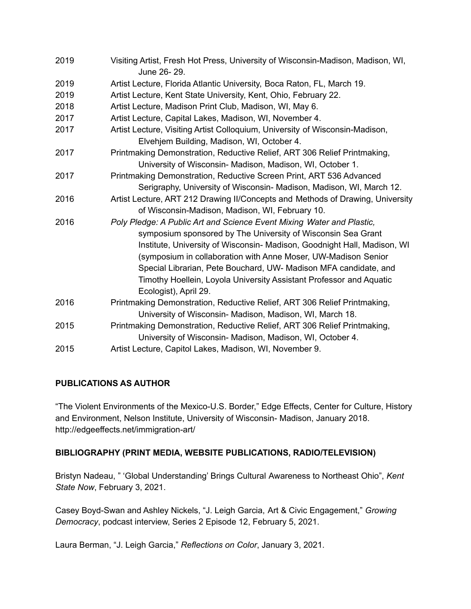| 2019 | Visiting Artist, Fresh Hot Press, University of Wisconsin-Madison, Madison, WI,<br>June 26-29.                                                                                                                                                                                                                                                                                                                                                          |
|------|---------------------------------------------------------------------------------------------------------------------------------------------------------------------------------------------------------------------------------------------------------------------------------------------------------------------------------------------------------------------------------------------------------------------------------------------------------|
| 2019 | Artist Lecture, Florida Atlantic University, Boca Raton, FL, March 19.                                                                                                                                                                                                                                                                                                                                                                                  |
| 2019 | Artist Lecture, Kent State University, Kent, Ohio, February 22.                                                                                                                                                                                                                                                                                                                                                                                         |
| 2018 | Artist Lecture, Madison Print Club, Madison, WI, May 6.                                                                                                                                                                                                                                                                                                                                                                                                 |
| 2017 | Artist Lecture, Capital Lakes, Madison, WI, November 4.                                                                                                                                                                                                                                                                                                                                                                                                 |
| 2017 | Artist Lecture, Visiting Artist Colloquium, University of Wisconsin-Madison,<br>Elvehjem Building, Madison, WI, October 4.                                                                                                                                                                                                                                                                                                                              |
| 2017 | Printmaking Demonstration, Reductive Relief, ART 306 Relief Printmaking,<br>University of Wisconsin- Madison, Madison, WI, October 1.                                                                                                                                                                                                                                                                                                                   |
| 2017 | Printmaking Demonstration, Reductive Screen Print, ART 536 Advanced<br>Serigraphy, University of Wisconsin- Madison, Madison, WI, March 12.                                                                                                                                                                                                                                                                                                             |
| 2016 | Artist Lecture, ART 212 Drawing II/Concepts and Methods of Drawing, University<br>of Wisconsin-Madison, Madison, WI, February 10.                                                                                                                                                                                                                                                                                                                       |
| 2016 | Poly Pledge: A Public Art and Science Event Mixing Water and Plastic,<br>symposium sponsored by The University of Wisconsin Sea Grant<br>Institute, University of Wisconsin- Madison, Goodnight Hall, Madison, WI<br>(symposium in collaboration with Anne Moser, UW-Madison Senior<br>Special Librarian, Pete Bouchard, UW- Madison MFA candidate, and<br>Timothy Hoellein, Loyola University Assistant Professor and Aquatic<br>Ecologist), April 29. |
| 2016 | Printmaking Demonstration, Reductive Relief, ART 306 Relief Printmaking,<br>University of Wisconsin- Madison, Madison, WI, March 18.                                                                                                                                                                                                                                                                                                                    |
| 2015 | Printmaking Demonstration, Reductive Relief, ART 306 Relief Printmaking,<br>University of Wisconsin- Madison, Madison, WI, October 4.                                                                                                                                                                                                                                                                                                                   |
| 2015 | Artist Lecture, Capitol Lakes, Madison, WI, November 9.                                                                                                                                                                                                                                                                                                                                                                                                 |

#### **PUBLICATIONS AS AUTHOR**

"The Violent Environments of the Mexico-U.S. Border," Edge Effects, Center for Culture, History and Environment, Nelson Institute, University of Wisconsin- Madison, January 2018. http://edgeeffects.net/immigration-art/

## **BIBLIOGRAPHY (PRINT MEDIA, WEBSITE PUBLICATIONS, RADIO/TELEVISION)**

Bristyn Nadeau, " 'Global Understanding' Brings Cultural Awareness to Northeast Ohio", *Kent State Now*, February 3, 2021.

Casey Boyd-Swan and Ashley Nickels, "J. Leigh Garcia, Art & Civic Engagement," *Growing Democracy*, podcast interview, Series 2 Episode 12, February 5, 2021.

Laura Berman, "J. Leigh Garcia," *Reflections on Color*, January 3, 2021.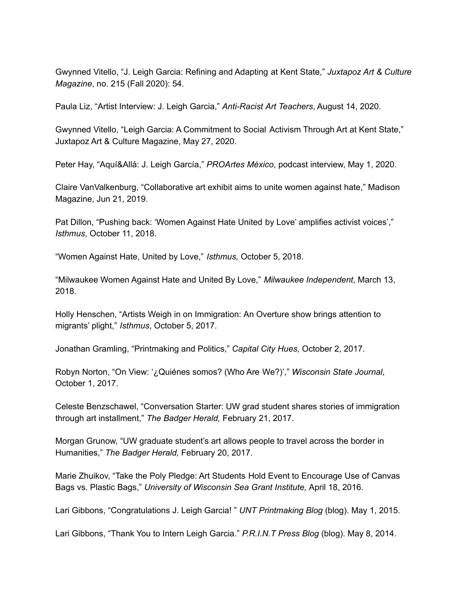Gwynned Vitello, "J. Leigh Garcia: Refining and Adapting at Kent State," *Juxtapoz Art & Culture Magazine*, no. 215 (Fall 2020): 54.

Paula Liz, "Artist Interview: J. Leigh Garcia," *Anti-Racist Art Teachers*, August 14, 2020.

Gwynned Vitello, "Leigh Garcia: A Commitment to Social Activism Through Art at Kent State," Juxtapoz Art & Culture Magazine, May 27, 2020.

Peter Hay, "Aquí&Allá: J. Leigh García," *PROArtes México*, podcast interview, May 1, 2020.

Claire VanValkenburg, "Collaborative art exhibit aims to unite women against hate," Madison Magazine, Jun 21, 2019.

Pat Dillon, "Pushing back: 'Women Against Hate United by Love' amplifies activist voices'," *Isthmus*, October 11, 2018.

"Women Against Hate, United by Love," *Isthmus,* October 5, 2018.

"Milwaukee Women Against Hate and United By Love," *Milwaukee Independent*, March 13, 2018.

Holly Henschen, "Artists Weigh in on Immigration: An Overture show brings attention to migrants' plight," *Isthmus*, October 5, 2017.

Jonathan Gramling, "Printmaking and Politics," *Capital City Hues,* October 2, 2017.

Robyn Norton, "On View: '¿Quiénes somos? (Who Are We?)'," *Wisconsin State Journal*, October 1, 2017.

Celeste Benzschawel, "Conversation Starter: UW grad student shares stories of immigration through art installment," *The Badger Herald,* February 21, 2017.

Morgan Grunow, "UW graduate student's art allows people to travel across the border in Humanities," *The Badger Herald,* February 20, 2017.

Marie Zhuikov, "Take the Poly Pledge: Art Students Hold Event to Encourage Use of Canvas Bags vs. Plastic Bags," *University of Wisconsin Sea Grant Institute,* April 18, 2016.

Lari Gibbons, "Congratulations J. Leigh Garcia! " *UNT Printmaking Blog* (blog). May 1, 2015.

Lari Gibbons, "Thank You to Intern Leigh Garcia." *P.R.I.N.T Press Blog* (blog). May 8, 2014.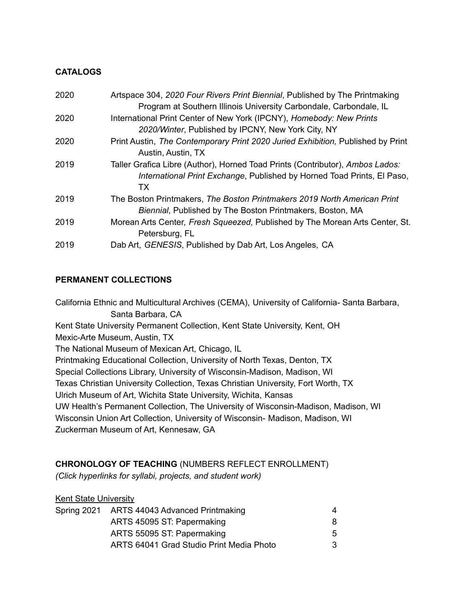## **CATALOGS**

| 2020 | Artspace 304, 2020 Four Rivers Print Biennial, Published by The Printmaking                           |
|------|-------------------------------------------------------------------------------------------------------|
|      | Program at Southern Illinois University Carbondale, Carbondale, IL                                    |
| 2020 | International Print Center of New York (IPCNY), Homebody: New Prints                                  |
|      | 2020/Winter, Published by IPCNY, New York City, NY                                                    |
| 2020 | Print Austin, The Contemporary Print 2020 Juried Exhibition, Published by Print<br>Austin, Austin, TX |
| 2019 | Taller Grafica Libre (Author), Horned Toad Prints (Contributor), Ambos Lados:                         |
|      | International Print Exchange, Published by Horned Toad Prints, El Paso,                               |
|      | ТX                                                                                                    |
| 2019 | The Boston Printmakers, The Boston Printmakers 2019 North American Print                              |
|      | Biennial, Published by The Boston Printmakers, Boston, MA                                             |
| 2019 | Morean Arts Center, Fresh Squeezed, Published by The Morean Arts Center, St.                          |
|      | Petersburg, FL                                                                                        |
| 2019 | Dab Art, GENESIS, Published by Dab Art, Los Angeles, CA                                               |

## **PERMANENT COLLECTIONS**

California Ethnic and Multicultural Archives (CEMA), University of California- Santa Barbara, Santa Barbara, CA Kent State University Permanent Collection, Kent State University, Kent, OH Mexic-Arte Museum, Austin, TX The National Museum of Mexican Art, Chicago, IL Printmaking Educational Collection, University of North Texas, Denton, TX Special Collections Library, University of Wisconsin-Madison, Madison, WI Texas Christian University Collection, Texas Christian University, Fort Worth, TX Ulrich Museum of Art, Wichita State University, Wichita, Kansas UW Health's Permanent Collection, The University of Wisconsin-Madison, Madison, WI Wisconsin Union Art Collection, University of Wisconsin- Madison, Madison, WI Zuckerman Museum of Art, Kennesaw, GA

## **CHRONOLOGY OF TEACHING** (NUMBERS REFLECT ENROLLMENT)

*(Click hyperlinks for syllabi, projects, and student work)*

## **Kent State University**

|  | Spring 2021 ARTS 44043 Advanced Printmaking | 4 |
|--|---------------------------------------------|---|
|  | ARTS 45095 ST: Papermaking                  | 8 |
|  | ARTS 55095 ST: Papermaking                  | 5 |
|  | ARTS 64041 Grad Studio Print Media Photo    | 3 |
|  |                                             |   |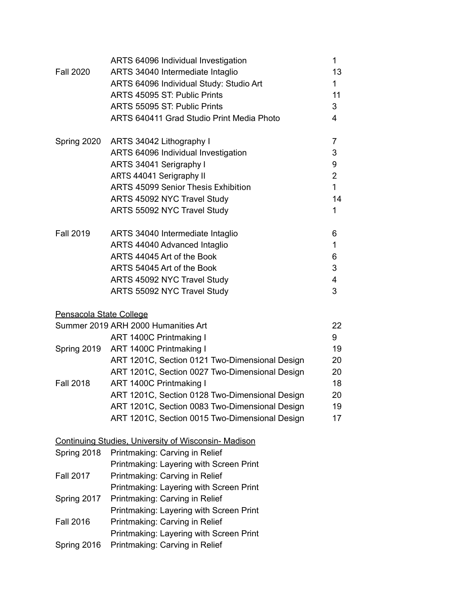|                         | ARTS 64096 Individual Investigation                         | 1              |
|-------------------------|-------------------------------------------------------------|----------------|
| <b>Fall 2020</b>        | ARTS 34040 Intermediate Intaglio                            | 13             |
|                         | ARTS 64096 Individual Study: Studio Art                     | $\mathbf{1}$   |
|                         | ARTS 45095 ST: Public Prints                                | 11             |
|                         | ARTS 55095 ST: Public Prints                                | 3              |
|                         | ARTS 640411 Grad Studio Print Media Photo                   | $\overline{4}$ |
| Spring 2020             | ARTS 34042 Lithography I                                    | $\overline{7}$ |
|                         | ARTS 64096 Individual Investigation                         | 3              |
|                         | ARTS 34041 Serigraphy I                                     | 9              |
|                         | ARTS 44041 Serigraphy II                                    | $\overline{2}$ |
|                         | <b>ARTS 45099 Senior Thesis Exhibition</b>                  | $\mathbf{1}$   |
|                         | ARTS 45092 NYC Travel Study                                 | 14             |
|                         | ARTS 55092 NYC Travel Study                                 | $\mathbf{1}$   |
| <b>Fall 2019</b>        | ARTS 34040 Intermediate Intaglio                            | 6              |
|                         | ARTS 44040 Advanced Intaglio                                | 1              |
|                         | ARTS 44045 Art of the Book                                  | 6              |
|                         | ARTS 54045 Art of the Book                                  | 3              |
|                         | ARTS 45092 NYC Travel Study                                 | 4              |
|                         | ARTS 55092 NYC Travel Study                                 | 3              |
| Pensacola State College |                                                             |                |
|                         | Summer 2019 ARH 2000 Humanities Art                         | 22             |
|                         | ART 1400C Printmaking I                                     | 9              |
| Spring 2019             | ART 1400C Printmaking I                                     | 19             |
|                         | ART 1201C, Section 0121 Two-Dimensional Design              | 20             |
|                         | ART 1201C, Section 0027 Two-Dimensional Design              | 20             |
| <b>Fall 2018</b>        | ART 1400C Printmaking I                                     | 18             |
|                         | ART 1201C, Section 0128 Two-Dimensional Design              | 20             |
|                         | ART 1201C, Section 0083 Two-Dimensional Design              | 19             |
|                         | ART 1201C, Section 0015 Two-Dimensional Design              | 17             |
|                         | <b>Continuing Studies, University of Wisconsin- Madison</b> |                |
| Spring 2018             | Printmaking: Carving in Relief                              |                |
|                         | Printmaking: Layering with Screen Print                     |                |
| <b>Fall 2017</b>        | Printmaking: Carving in Relief                              |                |
|                         | Printmaking: Layering with Screen Print                     |                |
| Spring 2017             | Printmaking: Carving in Relief                              |                |
|                         | Printmaking: Layering with Screen Print                     |                |
| <b>Fall 2016</b>        | Printmaking: Carving in Relief                              |                |
|                         | Printmaking: Layering with Screen Print                     |                |
| Spring 2016             | Printmaking: Carving in Relief                              |                |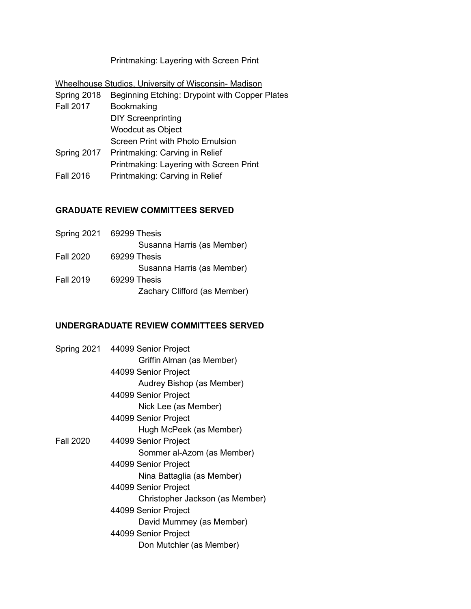Printmaking: Layering with Screen Print

Wheelhouse Studios, University of Wisconsin- Madison

Spring 2018 Beginning Etching: Drypoint with Copper Plates Fall 2017 Bookmaking DIY Screenprinting Woodcut as Object Screen Print with Photo Emulsion Spring 2017 Printmaking: Carving in Relief Printmaking: Layering with Screen Print Fall 2016 Printmaking: Carving in Relief

#### **GRADUATE REVIEW COMMITTEES SERVED**

|                  | Spring 2021 69299 Thesis     |
|------------------|------------------------------|
|                  | Susanna Harris (as Member)   |
| <b>Fall 2020</b> | 69299 Thesis                 |
|                  | Susanna Harris (as Member)   |
| <b>Fall 2019</b> | 69299 Thesis                 |
|                  | Zachary Clifford (as Member) |

### **UNDERGRADUATE REVIEW COMMITTEES SERVED**

|                  | Spring 2021 44099 Senior Project |
|------------------|----------------------------------|
|                  | Griffin Alman (as Member)        |
|                  | 44099 Senior Project             |
|                  | Audrey Bishop (as Member)        |
|                  | 44099 Senior Project             |
|                  | Nick Lee (as Member)             |
|                  | 44099 Senior Project             |
|                  | Hugh McPeek (as Member)          |
| <b>Fall 2020</b> | 44099 Senior Project             |
|                  | Sommer al-Azom (as Member)       |
|                  | 44099 Senior Project             |
|                  | Nina Battaglia (as Member)       |
|                  | 44099 Senior Project             |
|                  | Christopher Jackson (as Member)  |
|                  | 44099 Senior Project             |
|                  | David Mummey (as Member)         |
|                  | 44099 Senior Project             |
|                  | Don Mutchler (as Member)         |
|                  |                                  |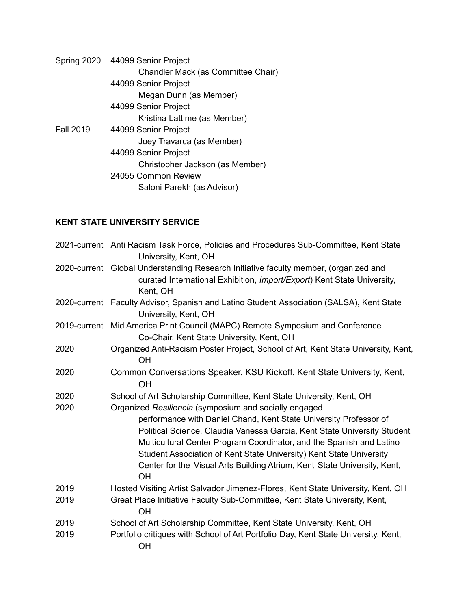|                  | Spring 2020 44099 Senior Project   |
|------------------|------------------------------------|
|                  | Chandler Mack (as Committee Chair) |
|                  | 44099 Senior Project               |
|                  | Megan Dunn (as Member)             |
|                  | 44099 Senior Project               |
|                  | Kristina Lattime (as Member)       |
| <b>Fall 2019</b> | 44099 Senior Project               |
|                  | Joey Travarca (as Member)          |
|                  | 44099 Senior Project               |
|                  | Christopher Jackson (as Member)    |
|                  | 24055 Common Review                |
|                  | Saloni Parekh (as Advisor)         |
|                  |                                    |

# **KENT STATE UNIVERSITY SERVICE**

|      | 2021-current Anti Racism Task Force, Policies and Procedures Sub-Committee, Kent State<br>University, Kent, OH                                                                                                                                                                                                                                                                                                                                 |
|------|------------------------------------------------------------------------------------------------------------------------------------------------------------------------------------------------------------------------------------------------------------------------------------------------------------------------------------------------------------------------------------------------------------------------------------------------|
|      | 2020-current Global Understanding Research Initiative faculty member, (organized and<br>curated International Exhibition, Import/Export) Kent State University,<br>Kent, OH                                                                                                                                                                                                                                                                    |
|      | 2020-current Faculty Advisor, Spanish and Latino Student Association (SALSA), Kent State<br>University, Kent, OH                                                                                                                                                                                                                                                                                                                               |
|      | 2019-current Mid America Print Council (MAPC) Remote Symposium and Conference<br>Co-Chair, Kent State University, Kent, OH                                                                                                                                                                                                                                                                                                                     |
| 2020 | Organized Anti-Racism Poster Project, School of Art, Kent State University, Kent,<br>OH                                                                                                                                                                                                                                                                                                                                                        |
| 2020 | Common Conversations Speaker, KSU Kickoff, Kent State University, Kent,<br><b>OH</b>                                                                                                                                                                                                                                                                                                                                                           |
| 2020 | School of Art Scholarship Committee, Kent State University, Kent, OH                                                                                                                                                                                                                                                                                                                                                                           |
| 2020 | Organized Resiliencia (symposium and socially engaged<br>performance with Daniel Chand, Kent State University Professor of<br>Political Science, Claudia Vanessa Garcia, Kent State University Student<br>Multicultural Center Program Coordinator, and the Spanish and Latino<br>Student Association of Kent State University) Kent State University<br>Center for the Visual Arts Building Atrium, Kent State University, Kent,<br><b>OH</b> |
| 2019 | Hosted Visiting Artist Salvador Jimenez-Flores, Kent State University, Kent, OH                                                                                                                                                                                                                                                                                                                                                                |
| 2019 | Great Place Initiative Faculty Sub-Committee, Kent State University, Kent,<br>OH                                                                                                                                                                                                                                                                                                                                                               |
| 2019 | School of Art Scholarship Committee, Kent State University, Kent, OH                                                                                                                                                                                                                                                                                                                                                                           |
| 2019 | Portfolio critiques with School of Art Portfolio Day, Kent State University, Kent,<br><b>OH</b>                                                                                                                                                                                                                                                                                                                                                |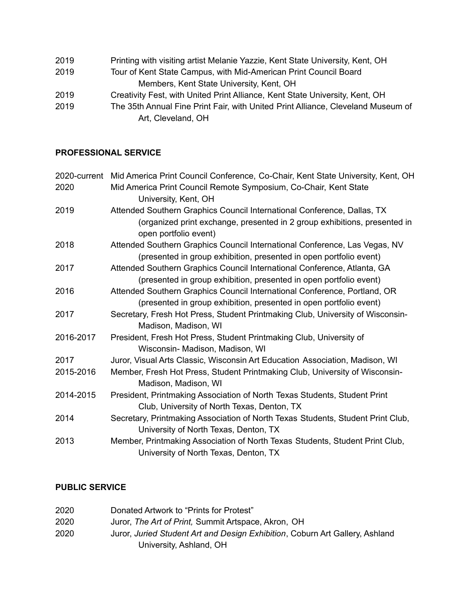- 2019 Printing with visiting artist Melanie Yazzie, Kent State University, Kent, OH
- 2019 Tour of Kent State Campus, with Mid-American Print Council Board Members, Kent State University, Kent, OH
- 2019 Creativity Fest, with United Print Alliance, Kent State University, Kent, OH
- 2019 The 35th Annual Fine Print Fair, with United Print Alliance, Cleveland Museum of Art, Cleveland, OH

# **PROFESSIONAL SERVICE**

| 2020-current | Mid America Print Council Conference, Co-Chair, Kent State University, Kent, OH                                       |
|--------------|-----------------------------------------------------------------------------------------------------------------------|
| 2020         | Mid America Print Council Remote Symposium, Co-Chair, Kent State                                                      |
|              | University, Kent, OH                                                                                                  |
| 2019         | Attended Southern Graphics Council International Conference, Dallas, TX                                               |
|              | (organized print exchange, presented in 2 group exhibitions, presented in<br>open portfolio event)                    |
| 2018         | Attended Southern Graphics Council International Conference, Las Vegas, NV                                            |
|              | (presented in group exhibition, presented in open portfolio event)                                                    |
| 2017         | Attended Southern Graphics Council International Conference, Atlanta, GA                                              |
|              | (presented in group exhibition, presented in open portfolio event)                                                    |
| 2016         | Attended Southern Graphics Council International Conference, Portland, OR                                             |
|              | (presented in group exhibition, presented in open portfolio event)                                                    |
| 2017         | Secretary, Fresh Hot Press, Student Printmaking Club, University of Wisconsin-<br>Madison, Madison, WI                |
| 2016-2017    | President, Fresh Hot Press, Student Printmaking Club, University of                                                   |
|              | Wisconsin- Madison, Madison, WI                                                                                       |
| 2017         | Juror, Visual Arts Classic, Wisconsin Art Education Association, Madison, WI                                          |
| 2015-2016    | Member, Fresh Hot Press, Student Printmaking Club, University of Wisconsin-                                           |
|              | Madison, Madison, WI                                                                                                  |
| 2014-2015    | President, Printmaking Association of North Texas Students, Student Print                                             |
|              | Club, University of North Texas, Denton, TX                                                                           |
| 2014         | Secretary, Printmaking Association of North Texas Students, Student Print Club,                                       |
|              | University of North Texas, Denton, TX                                                                                 |
| 2013         | Member, Printmaking Association of North Texas Students, Student Print Club,<br>University of North Texas, Denton, TX |

# **PUBLIC SERVICE**

| 2020 | Donated Artwork to "Prints for Protest"                                      |
|------|------------------------------------------------------------------------------|
| 2020 | Juror, The Art of Print, Summit Artspace, Akron, OH                          |
| 2020 | Juror, Juried Student Art and Design Exhibition, Coburn Art Gallery, Ashland |
|      | University, Ashland, OH                                                      |